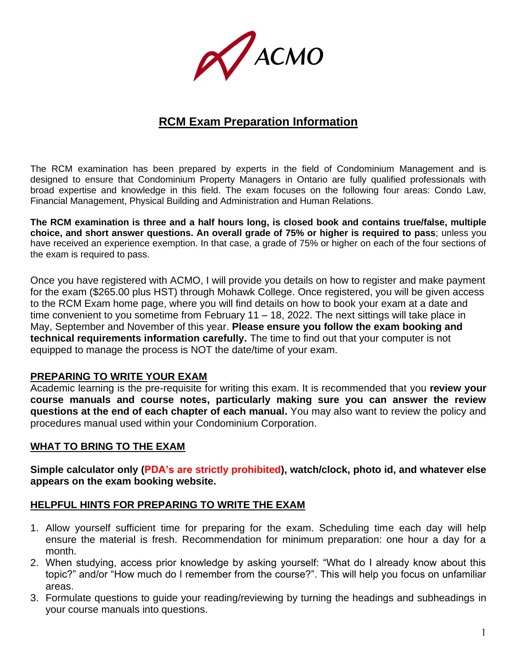PACMO

# **RCM Exam Preparation Information**

The RCM examination has been prepared by experts in the field of Condominium Management and is designed to ensure that Condominium Property Managers in Ontario are fully qualified professionals with broad expertise and knowledge in this field. The exam focuses on the following four areas: Condo Law, Financial Management, Physical Building and Administration and Human Relations.

**The RCM examination is three and a half hours long, is closed book and contains true/false, multiple choice, and short answer questions. An overall grade of 75% or higher is required to pass**; unless you have received an experience exemption. In that case, a grade of 75% or higher on each of the four sections of the exam is required to pass.

Once you have registered with ACMO, I will provide you details on how to register and make payment for the exam (\$265.00 plus HST) through Mohawk College. Once registered, you will be given access to the RCM Exam home page, where you will find details on how to book your exam at a date and time convenient to you sometime from February 11 – 18, 2022. The next sittings will take place in May, September and November of this year. **Please ensure you follow the exam booking and technical requirements information carefully.** The time to find out that your computer is not equipped to manage the process is NOT the date/time of your exam.

### **PREPARING TO WRITE YOUR EXAM**

Academic learning is the pre-requisite for writing this exam. It is recommended that you **review your course manuals and course notes, particularly making sure you can answer the review questions at the end of each chapter of each manual.** You may also want to review the policy and procedures manual used within your Condominium Corporation.

### **WHAT TO BRING TO THE EXAM**

**Simple calculator only (PDA's are strictly prohibited), watch/clock, photo id, and whatever else appears on the exam booking website.**

### **HELPFUL HINTS FOR PREPARING TO WRITE THE EXAM**

- 1. Allow yourself sufficient time for preparing for the exam. Scheduling time each day will help ensure the material is fresh. Recommendation for minimum preparation: one hour a day for a month.
- 2. When studying, access prior knowledge by asking yourself: "What do I already know about this topic?" and/or "How much do I remember from the course?". This will help you focus on unfamiliar areas.
- 3. Formulate questions to guide your reading/reviewing by turning the headings and subheadings in your course manuals into questions.